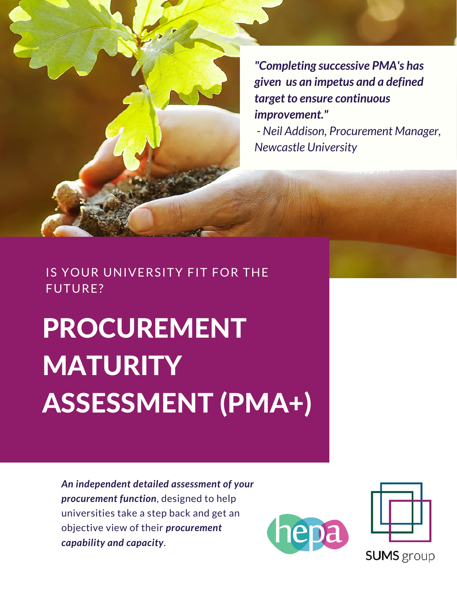*"Completing successive PMA's has given us an impetus and a defined target to ensure continuous improvement."*

*- Neil Addison, Procurement Manager, Newcastle University*

### IS YOUR UNIVERSITY FIT FOR THE FUTURE?

# PROCUREMENT **MATURITY** ASSESSMENT (PMA+)

*An independent detailed assessment of your procurement function*, designed to help universities take a step back and get an objective view of their *procurement capability and capacity*.